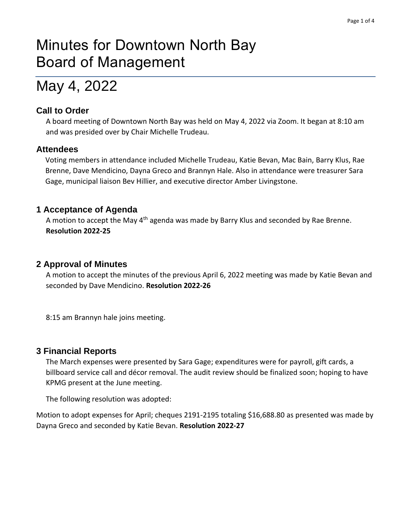# Minutes for Downtown North Bay Board of Management

# May 4, 2022

## **Call to Order**

A board meeting of Downtown North Bay was held on May 4, 2022 via Zoom. It began at 8:10 am and was presided over by Chair Michelle Trudeau.

## **Attendees**

Voting members in attendance included Michelle Trudeau, Katie Bevan, Mac Bain, Barry Klus, Rae Brenne, Dave Mendicino, Dayna Greco and Brannyn Hale. Also in attendance were treasurer Sara Gage, municipal liaison Bev Hillier, and executive director Amber Livingstone.

## **1 Acceptance of Agenda**

A motion to accept the May 4<sup>th</sup> agenda was made by Barry Klus and seconded by Rae Brenne. **Resolution 2022-25**

## **2 Approval of Minutes**

A motion to accept the minutes of the previous April 6, 2022 meeting was made by Katie Bevan and seconded by Dave Mendicino. **Resolution 2022-26**

8:15 am Brannyn hale joins meeting.

## **3 Financial Reports**

The March expenses were presented by Sara Gage; expenditures were for payroll, gift cards, a billboard service call and décor removal. The audit review should be finalized soon; hoping to have KPMG present at the June meeting.

The following resolution was adopted:

Motion to adopt expenses for April; cheques 2191-2195 totaling \$16,688.80 as presented was made by Dayna Greco and seconded by Katie Bevan. **Resolution 2022-27**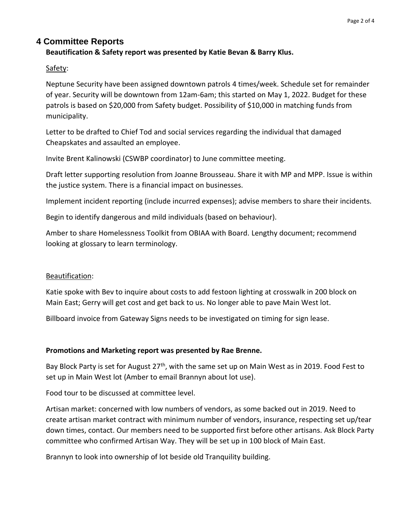## **4 Committee Reports**

### **Beautification & Safety report was presented by Katie Bevan & Barry Klus.**

Safety:

Neptune Security have been assigned downtown patrols 4 times/week. Schedule set for remainder of year. Security will be downtown from 12am-6am; this started on May 1, 2022. Budget for these patrols is based on \$20,000 from Safety budget. Possibility of \$10,000 in matching funds from municipality.

Letter to be drafted to Chief Tod and social services regarding the individual that damaged Cheapskates and assaulted an employee.

Invite Brent Kalinowski (CSWBP coordinator) to June committee meeting.

Draft letter supporting resolution from Joanne Brousseau. Share it with MP and MPP. Issue is within the justice system. There is a financial impact on businesses.

Implement incident reporting (include incurred expenses); advise members to share their incidents.

Begin to identify dangerous and mild individuals (based on behaviour).

Amber to share Homelessness Toolkit from OBIAA with Board. Lengthy document; recommend looking at glossary to learn terminology.

#### Beautification:

Katie spoke with Bev to inquire about costs to add festoon lighting at crosswalk in 200 block on Main East; Gerry will get cost and get back to us. No longer able to pave Main West lot.

Billboard invoice from Gateway Signs needs to be investigated on timing for sign lease.

#### **Promotions and Marketing report was presented by Rae Brenne.**

Bay Block Party is set for August 27<sup>th</sup>, with the same set up on Main West as in 2019. Food Fest to set up in Main West lot (Amber to email Brannyn about lot use).

Food tour to be discussed at committee level.

Artisan market: concerned with low numbers of vendors, as some backed out in 2019. Need to create artisan market contract with minimum number of vendors, insurance, respecting set up/tear down times, contact. Our members need to be supported first before other artisans. Ask Block Party committee who confirmed Artisan Way. They will be set up in 100 block of Main East.

Brannyn to look into ownership of lot beside old Tranquility building.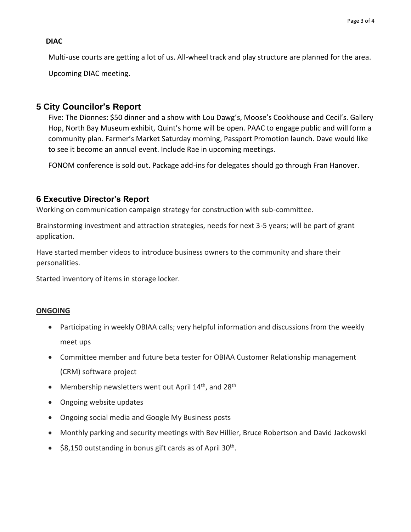#### **DIAC**

Multi-use courts are getting a lot of us. All-wheel track and play structure are planned for the area. Upcoming DIAC meeting.

## **5 City Councilor's Report**

Five: The Dionnes: \$50 dinner and a show with Lou Dawg's, Moose's Cookhouse and Cecil's. Gallery Hop, North Bay Museum exhibit, Quint's home will be open. PAAC to engage public and will form a community plan. Farmer's Market Saturday morning, Passport Promotion launch. Dave would like to see it become an annual event. Include Rae in upcoming meetings.

FONOM conference is sold out. Package add-ins for delegates should go through Fran Hanover.

#### **6 Executive Director's Report**

Working on communication campaign strategy for construction with sub-committee.

Brainstorming investment and attraction strategies, needs for next 3-5 years; will be part of grant application.

Have started member videos to introduce business owners to the community and share their personalities.

Started inventory of items in storage locker.

#### **ONGOING**

- Participating in weekly OBIAA calls; very helpful information and discussions from the weekly meet ups
- Committee member and future beta tester for OBIAA Customer Relationship management (CRM) software project
- Membership newsletters went out April 14<sup>th</sup>, and 28<sup>th</sup>
- Ongoing website updates
- Ongoing social media and Google My Business posts
- Monthly parking and security meetings with Bev Hillier, Bruce Robertson and David Jackowski
- \$8,150 outstanding in bonus gift cards as of April 30<sup>th</sup>.